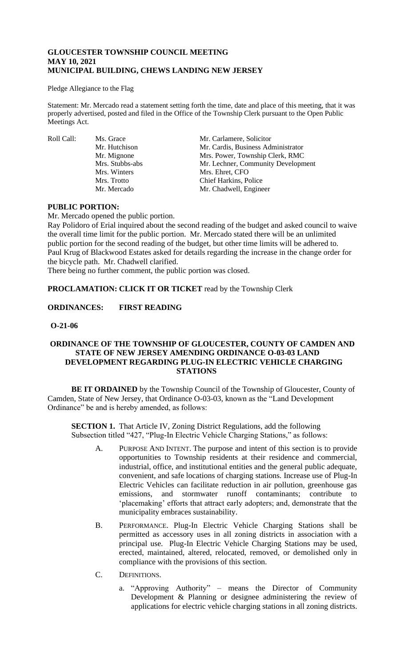# **GLOUCESTER TOWNSHIP COUNCIL MEETING MAY 10, 2021 MUNICIPAL BUILDING, CHEWS LANDING NEW JERSEY**

## Pledge Allegiance to the Flag

Statement: Mr. Mercado read a statement setting forth the time, date and place of this meeting, that it was properly advertised, posted and filed in the Office of the Township Clerk pursuant to the Open Public Meetings Act.

Roll Call: Ms. Grace Mr. Carlamere, Solicitor<br>Mr. Hutchison Mr. Cardis. Business Adı Mr. Cardis, Business Administrator Mr. Mignone Mrs. Power, Township Clerk, RMC Mrs. Stubbs-abs Mr. Lechner, Community Development Mrs. Winters Mrs. Ehret, CFO Mrs. Trotto Chief Harkins, Police Mr. Mercado Mr. Chadwell, Engineer

## **PUBLIC PORTION:**

Mr. Mercado opened the public portion.

Ray Polidoro of Erial inquired about the second reading of the budget and asked council to waive the overall time limit for the public portion. Mr. Mercado stated there will be an unlimited public portion for the second reading of the budget, but other time limits will be adhered to. Paul Krug of Blackwood Estates asked for details regarding the increase in the change order for the bicycle path. Mr. Chadwell clarified.

There being no further comment, the public portion was closed.

**PROCLAMATION: CLICK IT OR TICKET** read by the Township Clerk

# **ORDINANCES: FIRST READING**

# **O-21-06**

# **ORDINANCE OF THE TOWNSHIP OF GLOUCESTER, COUNTY OF CAMDEN AND STATE OF NEW JERSEY AMENDING ORDINANCE O-03-03 LAND DEVELOPMENT REGARDING PLUG-IN ELECTRIC VEHICLE CHARGING STATIONS**

**BE IT ORDAINED** by the Township Council of the Township of Gloucester, County of Camden, State of New Jersey, that Ordinance O-03-03, known as the "Land Development Ordinance" be and is hereby amended, as follows:

**SECTION 1.** That Article IV, Zoning District Regulations, add the following Subsection titled "427, "Plug-In Electric Vehicle Charging Stations," as follows:

- A. PURPOSE AND INTENT. The purpose and intent of this section is to provide opportunities to Township residents at their residence and commercial, industrial, office, and institutional entities and the general public adequate, convenient, and safe locations of charging stations. Increase use of Plug-In Electric Vehicles can facilitate reduction in air pollution, greenhouse gas emissions, and stormwater runoff contaminants; contribute to 'placemaking' efforts that attract early adopters; and, demonstrate that the municipality embraces sustainability.
- B. PERFORMANCE. Plug-In Electric Vehicle Charging Stations shall be permitted as accessory uses in all zoning districts in association with a principal use. Plug-In Electric Vehicle Charging Stations may be used, erected, maintained, altered, relocated, removed, or demolished only in compliance with the provisions of this section.
- C. DEFINITIONS.
	- a. "Approving Authority" means the Director of Community Development & Planning or designee administering the review of applications for electric vehicle charging stations in all zoning districts.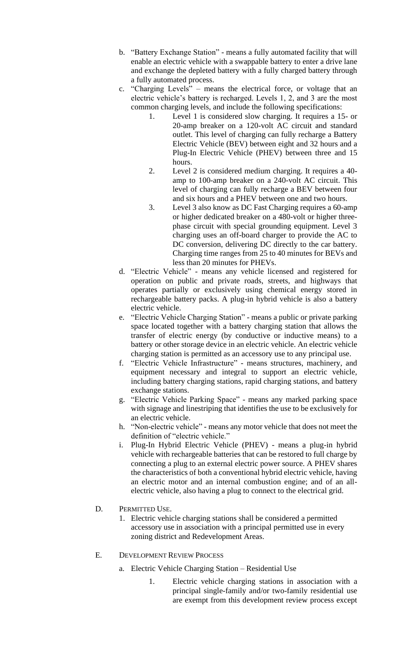- b. "Battery Exchange Station" means a fully automated facility that will enable an electric vehicle with a swappable battery to enter a drive lane and exchange the depleted battery with a fully charged battery through a fully automated process.
- c. "Charging Levels" means the electrical force, or voltage that an electric vehicle's battery is recharged. Levels 1, 2, and 3 are the most common charging levels, and include the following specifications:
	- 1. Level 1 is considered slow charging. It requires a 15- or 20-amp breaker on a 120-volt AC circuit and standard outlet. This level of charging can fully recharge a Battery Electric Vehicle (BEV) between eight and 32 hours and a Plug-In Electric Vehicle (PHEV) between three and 15 hours.
	- 2. Level 2 is considered medium charging. It requires a 40 amp to 100-amp breaker on a 240-volt AC circuit. This level of charging can fully recharge a BEV between four and six hours and a PHEV between one and two hours.
	- 3. Level 3 also know as DC Fast Charging requires a 60-amp or higher dedicated breaker on a 480-volt or higher threephase circuit with special grounding equipment. Level 3 charging uses an off-board charger to provide the AC to DC conversion, delivering DC directly to the car battery. Charging time ranges from 25 to 40 minutes for BEVs and less than 20 minutes for PHEVs.
- d. "Electric Vehicle" means any vehicle licensed and registered for operation on public and private roads, streets, and highways that operates partially or exclusively using chemical energy stored in rechargeable battery packs. A plug-in hybrid vehicle is also a battery electric vehicle.
- e. "Electric Vehicle Charging Station" means a public or private parking space located together with a battery charging station that allows the transfer of electric energy (by conductive or inductive means) to a battery or other storage device in an electric vehicle. An electric vehicle charging station is permitted as an accessory use to any principal use.
- f. "Electric Vehicle Infrastructure" means structures, machinery, and equipment necessary and integral to support an electric vehicle, including battery charging stations, rapid charging stations, and battery exchange stations.
- g. "Electric Vehicle Parking Space" means any marked parking space with signage and linestriping that identifies the use to be exclusively for an electric vehicle.
- h. "Non-electric vehicle" means any motor vehicle that does not meet the definition of "electric vehicle."
- i. Plug-In Hybrid Electric Vehicle (PHEV) means a plug-in hybrid vehicle with rechargeable batteries that can be restored to full charge by connecting a plug to an external electric power source. A PHEV shares the characteristics of both a conventional hybrid electric vehicle, having an electric motor and an internal combustion engine; and of an allelectric vehicle, also having a plug to connect to the electrical grid.
- D. PERMITTED USE.
	- 1. Electric vehicle charging stations shall be considered a permitted accessory use in association with a principal permitted use in every zoning district and Redevelopment Areas.
- E. DEVELOPMENT REVIEW PROCESS
	- a. Electric Vehicle Charging Station Residential Use
		- 1. Electric vehicle charging stations in association with a principal single-family and/or two-family residential use are exempt from this development review process except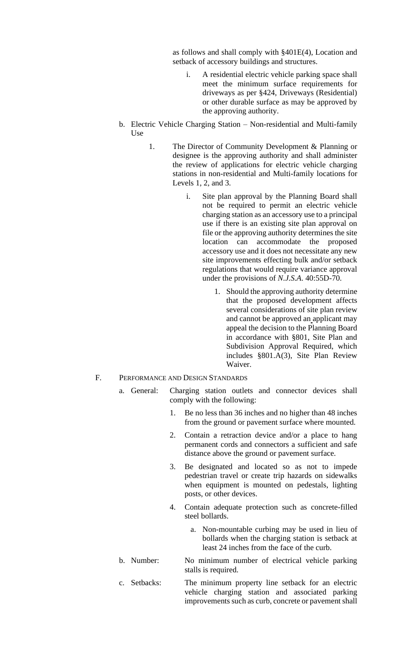as follows and shall comply with §401E(4), Location and setback of accessory buildings and structures.

- i. A residential electric vehicle parking space shall meet the minimum surface requirements for driveways as per §424, Driveways (Residential) or other durable surface as may be approved by the approving authority.
- b. Electric Vehicle Charging Station Non-residential and Multi-family Use
	- 1. The Director of Community Development & Planning or designee is the approving authority and shall administer the review of applications for electric vehicle charging stations in non-residential and Multi-family locations for Levels 1, 2, and 3.
		- i. Site plan approval by the Planning Board shall not be required to permit an electric vehicle charging station as an accessory use to a principal use if there is an existing site plan approval on file or the approving authority determines the site location can accommodate the proposed accessory use and it does not necessitate any new site improvements effecting bulk and/or setback regulations that would require variance approval under the provisions of *N.J.S.A*. 40:55D-70.
			- 1. Should the approving authority determine that the proposed development affects several considerations of site plan review and cannot be approved an applicant may appeal the decision to the Planning Board in accordance with §801, Site Plan and Subdivision Approval Required, which includes §801.A(3), Site Plan Review Waiver.
- F. PERFORMANCE AND DESIGN STANDARDS
	- a. General: Charging station outlets and connector devices shall comply with the following:
		- 1. Be no less than 36 inches and no higher than 48 inches from the ground or pavement surface where mounted.
		- 2. Contain a retraction device and/or a place to hang permanent cords and connectors a sufficient and safe distance above the ground or pavement surface.
		- 3. Be designated and located so as not to impede pedestrian travel or create trip hazards on sidewalks when equipment is mounted on pedestals, lighting posts, or other devices.
		- 4. Contain adequate protection such as concrete-filled steel bollards.
			- a. Non-mountable curbing may be used in lieu of bollards when the charging station is setback at least 24 inches from the face of the curb.
	- b. Number: No minimum number of electrical vehicle parking stalls is required.
	- c. Setbacks: The minimum property line setback for an electric vehicle charging station and associated parking improvements such as curb, concrete or pavement shall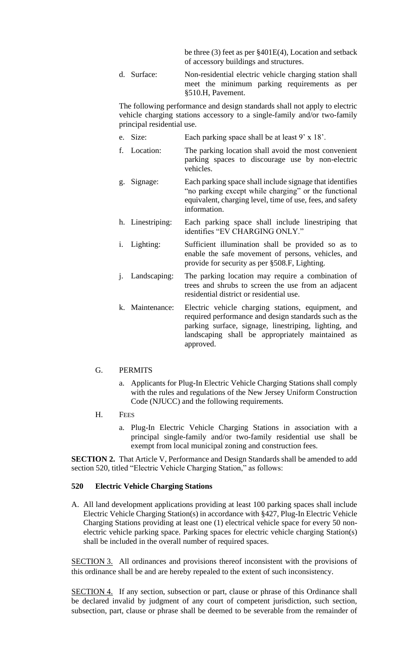be three (3) feet as per §401E(4), Location and setback of accessory buildings and structures.

d. Surface: Non-residential electric vehicle charging station shall meet the minimum parking requirements as per §510.H, Pavement.

The following performance and design standards shall not apply to electric vehicle charging stations accessory to a single-family and/or two-family principal residential use.

- e. Size: Each parking space shall be at least 9' x 18'.
- f. Location: The parking location shall avoid the most convenient parking spaces to discourage use by non-electric vehicles.
- g. Signage: Each parking space shall include signage that identifies "no parking except while charging" or the functional equivalent, charging level, time of use, fees, and safety information.
- h. Linestriping: Each parking space shall include linestriping that identifies "EV CHARGING ONLY."
- i. Lighting: Sufficient illumination shall be provided so as to enable the safe movement of persons, vehicles, and provide for security as per §508.F, Lighting.
- j. Landscaping: The parking location may require a combination of trees and shrubs to screen the use from an adjacent residential district or residential use.
- k. Maintenance: Electric vehicle charging stations, equipment, and required performance and design standards such as the parking surface, signage, linestriping, lighting, and landscaping shall be appropriately maintained as approved.

# G. PERMITS

- a. Applicants for Plug-In Electric Vehicle Charging Stations shall comply with the rules and regulations of the New Jersey Uniform Construction Code (NJUCC) and the following requirements.
- H. FEES
	- a. Plug-In Electric Vehicle Charging Stations in association with a principal single-family and/or two-family residential use shall be exempt from local municipal zoning and construction fees.

**SECTION 2.** That Article V, Performance and Design Standards shall be amended to add section 520, titled "Electric Vehicle Charging Station," as follows:

## **520 Electric Vehicle Charging Stations**

A. All land development applications providing at least 100 parking spaces shall include Electric Vehicle Charging Station(s) in accordance with §427, Plug-In Electric Vehicle Charging Stations providing at least one (1) electrical vehicle space for every 50 nonelectric vehicle parking space. Parking spaces for electric vehicle charging Station(s) shall be included in the overall number of required spaces.

SECTION 3. All ordinances and provisions thereof inconsistent with the provisions of this ordinance shall be and are hereby repealed to the extent of such inconsistency.

SECTION 4. If any section, subsection or part, clause or phrase of this Ordinance shall be declared invalid by judgment of any court of competent jurisdiction, such section, subsection, part, clause or phrase shall be deemed to be severable from the remainder of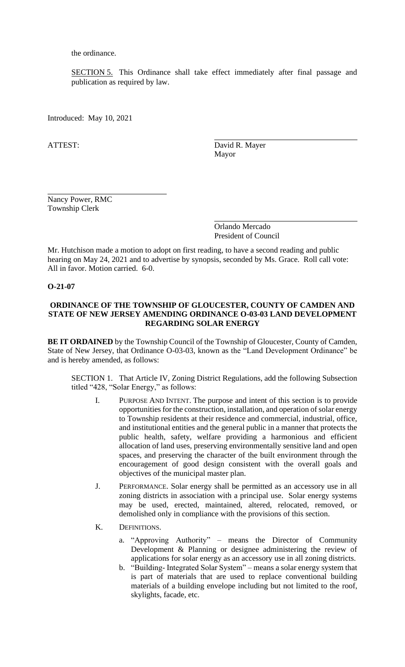the ordinance.

SECTION 5. This Ordinance shall take effect immediately after final passage and publication as required by law.

Introduced: May 10, 2021

ATTEST: David R. Mayer Mayor

Nancy Power, RMC Township Clerk

> Orlando Mercado President of Council

Mr. Hutchison made a motion to adopt on first reading, to have a second reading and public hearing on May 24, 2021 and to advertise by synopsis, seconded by Ms. Grace. Roll call vote: All in favor. Motion carried. 6-0.

**O-21-07**

# **ORDINANCE OF THE TOWNSHIP OF GLOUCESTER, COUNTY OF CAMDEN AND STATE OF NEW JERSEY AMENDING ORDINANCE O-03-03 LAND DEVELOPMENT REGARDING SOLAR ENERGY**

**BE IT ORDAINED** by the Township Council of the Township of Gloucester, County of Camden, State of New Jersey, that Ordinance O-03-03, known as the "Land Development Ordinance" be and is hereby amended, as follows:

SECTION 1. That Article IV, Zoning District Regulations, add the following Subsection titled "428, "Solar Energy," as follows:

- I. PURPOSE AND INTENT. The purpose and intent of this section is to provide opportunities for the construction, installation, and operation of solar energy to Township residents at their residence and commercial, industrial, office, and institutional entities and the general public in a manner that protects the public health, safety, welfare providing a harmonious and efficient allocation of land uses, preserving environmentally sensitive land and open spaces, and preserving the character of the built environment through the encouragement of good design consistent with the overall goals and objectives of the municipal master plan.
- J. PERFORMANCE. Solar energy shall be permitted as an accessory use in all zoning districts in association with a principal use. Solar energy systems may be used, erected, maintained, altered, relocated, removed, or demolished only in compliance with the provisions of this section.
- K. DEFINITIONS.
	- a. "Approving Authority" means the Director of Community Development & Planning or designee administering the review of applications for solar energy as an accessory use in all zoning districts.
	- b. "Building- Integrated Solar System" means a solar energy system that is part of materials that are used to replace conventional building materials of a building envelope including but not limited to the roof, skylights, facade, etc.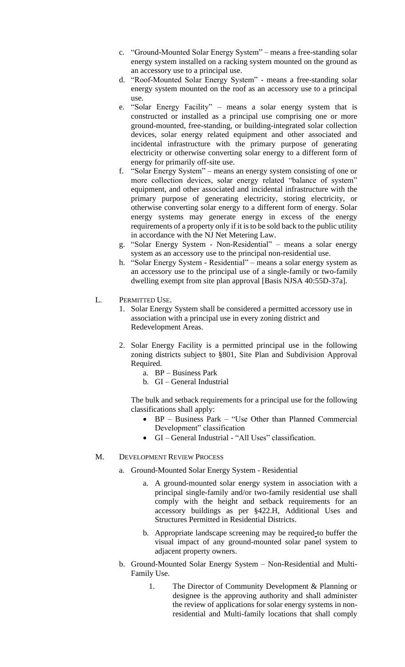- c. "Ground-Mounted Solar Energy System" means a free-standing solar energy system installed on a racking system mounted on the ground as an accessory use to a principal use.
- d. "Roof-Mounted Solar Energy System" means a free-standing solar energy system mounted on the roof as an accessory use to a principal use.
- e. "Solar Energy Facility" means a solar energy system that is constructed or installed as a principal use comprising one or more ground-mounted, free-standing, or building-integrated solar collection devices, solar energy related equipment and other associated and incidental infrastructure with the primary purpose of generating electricity or otherwise converting solar energy to a different form of energy for primarily off-site use.
- f. "Solar Energy System" means an energy system consisting of one or more collection devices, solar energy related "balance of system" equipment, and other associated and incidental infrastructure with the primary purpose of generating electricity, storing electricity, or otherwise converting solar energy to a different form of energy. Solar energy systems may generate energy in excess of the energy requirements of a property only if it is to be sold back to the public utility in accordance with the NJ Net Metering Law.
- g. "Solar Energy System Non-Residential" means a solar energy system as an accessory use to the principal non-residential use.
- h. "Solar Energy System Residential" means a solar energy system as an accessory use to the principal use of a single-family or two-family dwelling exempt from site plan approval [Basis NJSA 40:55D-37a].
- L. PERMITTED USE.
	- 1. Solar Energy System shall be considered a permitted accessory use in association with a principal use in every zoning district and Redevelopment Areas.
	- 2. Solar Energy Facility is a permitted principal use in the following zoning districts subject to §801, Site Plan and Subdivision Approval Required.
		- a. BP Business Park
		- b. GI General Industrial

The bulk and setback requirements for a principal use for the following classifications shall apply:

- BP Business Park "Use Other than Planned Commercial Development" classification
- GI General Industrial "All Uses" classification.
- M. DEVELOPMENT REVIEW PROCESS
	- a. Ground-Mounted Solar Energy System Residential
		- a. A ground-mounted solar energy system in association with a principal single-family and/or two-family residential use shall comply with the height and setback requirements for an accessory buildings as per §422.H, Additional Uses and Structures Permitted in Residential Districts.
		- b. Appropriate landscape screening may be required-to buffer the visual impact of any ground-mounted solar panel system to adjacent property owners.
	- b. Ground-Mounted Solar Energy System Non-Residential and Multi-Family Use.
		- 1. The Director of Community Development & Planning or designee is the approving authority and shall administer the review of applications for solar energy systems in nonresidential and Multi-family locations that shall comply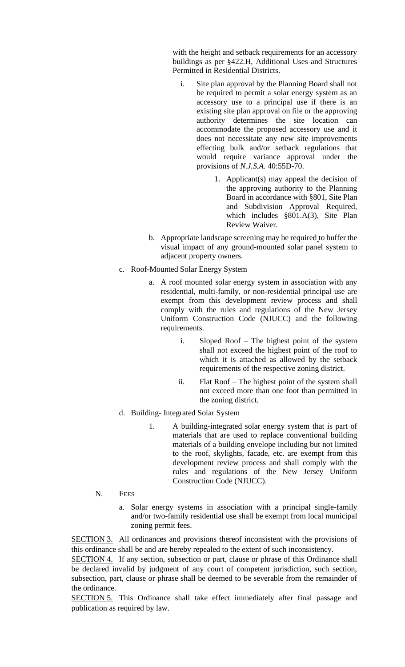with the height and setback requirements for an accessory buildings as per §422.H, Additional Uses and Structures Permitted in Residential Districts.

- i. Site plan approval by the Planning Board shall not be required to permit a solar energy system as an accessory use to a principal use if there is an existing site plan approval on file or the approving authority determines the site location can accommodate the proposed accessory use and it does not necessitate any new site improvements effecting bulk and/or setback regulations that would require variance approval under the provisions of *N.J.S.A*. 40:55D-70.
	- 1. Applicant(s) may appeal the decision of the approving authority to the Planning Board in accordance with §801, Site Plan and Subdivision Approval Required, which includes §801.A(3), Site Plan Review Waiver.
- b. Appropriate landscape screening may be required to buffer the visual impact of any ground-mounted solar panel system to adjacent property owners.
- c. Roof-Mounted Solar Energy System
	- a. A roof mounted solar energy system in association with any residential, multi-family, or non-residential principal use are exempt from this development review process and shall comply with the rules and regulations of the New Jersey Uniform Construction Code (NJUCC) and the following requirements.
		- i. Sloped Roof The highest point of the system shall not exceed the highest point of the roof to which it is attached as allowed by the setback requirements of the respective zoning district.
		- ii. Flat Roof The highest point of the system shall not exceed more than one foot than permitted in the zoning district.
- d. Building- Integrated Solar System
	- 1. A building-integrated solar energy system that is part of materials that are used to replace conventional building materials of a building envelope including but not limited to the roof, skylights, facade, etc. are exempt from this development review process and shall comply with the rules and regulations of the New Jersey Uniform Construction Code (NJUCC).
- N. FEES
	- a. Solar energy systems in association with a principal single-family and/or two-family residential use shall be exempt from local municipal zoning permit fees.

SECTION 3. All ordinances and provisions thereof inconsistent with the provisions of this ordinance shall be and are hereby repealed to the extent of such inconsistency.

SECTION 4. If any section, subsection or part, clause or phrase of this Ordinance shall be declared invalid by judgment of any court of competent jurisdiction, such section, subsection, part, clause or phrase shall be deemed to be severable from the remainder of the ordinance.

SECTION 5. This Ordinance shall take effect immediately after final passage and publication as required by law.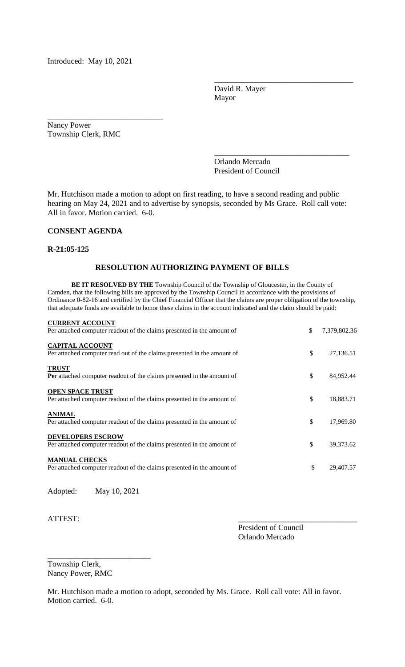Introduced: May 10, 2021

David R. Mayer Mayor

\_\_\_\_\_\_\_\_\_\_\_\_\_\_\_\_\_\_\_\_\_\_\_\_\_\_\_\_\_\_\_\_\_\_\_

\_\_\_\_\_\_\_\_\_\_\_\_\_\_\_\_\_\_\_\_\_\_\_\_\_\_\_\_\_\_\_\_\_\_

Nancy Power Township Clerk, RMC

\_\_\_\_\_\_\_\_\_\_\_\_\_\_\_\_\_\_\_\_\_\_\_\_\_\_\_\_\_

Orlando Mercado President of Council

Mr. Hutchison made a motion to adopt on first reading, to have a second reading and public hearing on May 24, 2021 and to advertise by synopsis, seconded by Ms Grace. Roll call vote: All in favor. Motion carried. 6-0.

# **CONSENT AGENDA**

## **R-21:05-125**

# **RESOLUTION AUTHORIZING PAYMENT OF BILLS**

**BE IT RESOLVED BY THE** Township Council of the Township of Gloucester, in the County of Camden, that the following bills are approved by the Township Council in accordance with the provisions of Ordinance 0-82-16 and certified by the Chief Financial Officer that the claims are proper obligation of the township, that adequate funds are available to honor these claims in the account indicated and the claim should be paid:

| <b>CURRENT ACCOUNT</b><br>Per attached computer readout of the claims presented in the amount of   | \$<br>7,379,802.36 |
|----------------------------------------------------------------------------------------------------|--------------------|
| <b>CAPITAL ACCOUNT</b><br>Per attached computer read out of the claims presented in the amount of  | \$<br>27,136.51    |
| <b>TRUST</b><br>Per attached computer readout of the claims presented in the amount of             | \$<br>84,952.44    |
| <b>OPEN SPACE TRUST</b><br>Per attached computer readout of the claims presented in the amount of  | \$<br>18,883.71    |
| <b>ANIMAL</b><br>Per attached computer readout of the claims presented in the amount of            | \$<br>17,969.80    |
| <b>DEVELOPERS ESCROW</b><br>Per attached computer readout of the claims presented in the amount of | \$<br>39,373.62    |
| <b>MANUAL CHECKS</b><br>Per attached computer readout of the claims presented in the amount of     | \$<br>29,407.57    |

Adopted: May 10, 2021

\_\_\_\_\_\_\_\_\_\_\_\_\_\_\_\_\_\_\_\_\_\_\_\_\_\_

ATTEST:

President of Council Orlando Mercado

Township Clerk, Nancy Power, RMC

Mr. Hutchison made a motion to adopt, seconded by Ms. Grace. Roll call vote: All in favor. Motion carried. 6-0.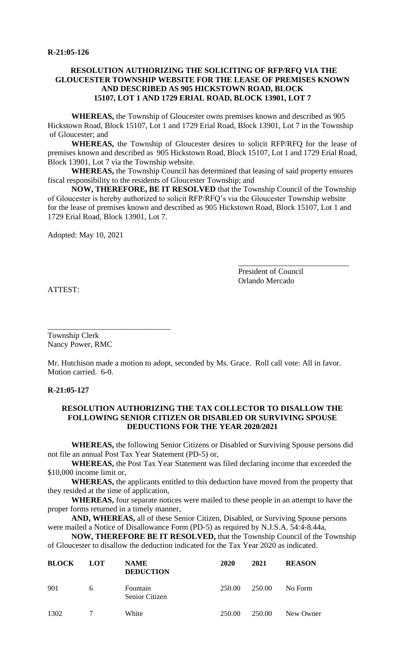# **RESOLUTION AUTHORIZING THE SOLICITING OF RFP/RFQ VIA THE GLOUCESTER TOWNSHIP WEBSITE FOR THE LEASE OF PREMISES KNOWN AND DESCRIBED AS 905 HICKSTOWN ROAD, BLOCK 15107, LOT 1 AND 1729 ERIAL ROAD, BLOCK 13901, LOT 7**

**WHEREAS,** the Township of Gloucester owns premises known and described as 905 Hickstown Road, Block 15107, Lot 1 and 1729 Erial Road, Block 13901, Lot 7 in the Township of Gloucester; and

**WHEREAS,** the Township of Gloucester desires to solicit RFP/RFQ for the lease of premises known and described as 905 Hickstown Road, Block 15107, Lot 1 and 1729 Erial Road, Block 13901, Lot 7 via the Township website.

**WHEREAS,** the Township Council has determined that leasing of said property ensures fiscal responsibility to the residents of Gloucester Township; and

**NOW, THEREFORE, BE IT RESOLVED** that the Township Council of the Township of Gloucester is hereby authorized to solicit RFP/RFQ's via the Gloucester Township website for the lease of premises known and described as 905 Hickstown Road, Block 15107, Lot 1 and 1729 Erial Road, Block 13901, Lot 7.

Adopted: May 10, 2021

President of Council Orlando Mercado

\_\_\_\_\_\_\_\_\_\_\_\_\_\_\_\_\_\_\_\_\_\_\_\_\_\_\_\_

ATTEST:

Township Clerk Nancy Power, RMC

\_\_\_\_\_\_\_\_\_\_\_\_\_\_\_\_\_\_\_\_\_\_\_\_\_\_\_\_\_\_\_

Mr. Hutchison made a motion to adopt, seconded by Ms. Grace. Roll call vote: All in favor. Motion carried. 6-0.

**R-21:05-127**

## **RESOLUTION AUTHORIZING THE TAX COLLECTOR TO DISALLOW THE FOLLOWING SENIOR CITIZEN OR DISABLED OR SURVIVING SPOUSE DEDUCTIONS FOR THE YEAR 2020/2021**

**WHEREAS,** the following Senior Citizens or Disabled or Surviving Spouse persons did not file an annual Post Tax Year Statement (PD-5) or,

**WHEREAS,** the Post Tax Year Statement was filed declaring income that exceeded the \$10,000 income limit or,

**WHEREAS,** the applicants entitled to this deduction have moved from the property that they resided at the time of application,

**WHEREAS,** four separate notices were mailed to these people in an attempt to have the proper forms returned in a timely manner,

**AND, WHEREAS,** all of these Senior Citizen, Disabled, or Surviving Spouse persons were mailed a Notice of Disallowance Form (PD-5) as required by N.J.S.A. 54:4-8.44a,

**NOW, THEREFORE BE IT RESOLVED,** that the Township Council of the Township of Gloucester to disallow the deduction indicated for the Tax Year 2020 as indicated.

| <b>BLOCK</b> | <b>LOT</b> | <b>NAME</b><br><b>DEDUCTION</b> | 2020   | 2021   | <b>REASON</b> |
|--------------|------------|---------------------------------|--------|--------|---------------|
| 901          | 6          | Fountain<br>Senior Citizen      | 250.00 | 250.00 | No Form       |
| 1302         |            | White                           | 250.00 | 250.00 | New Owner     |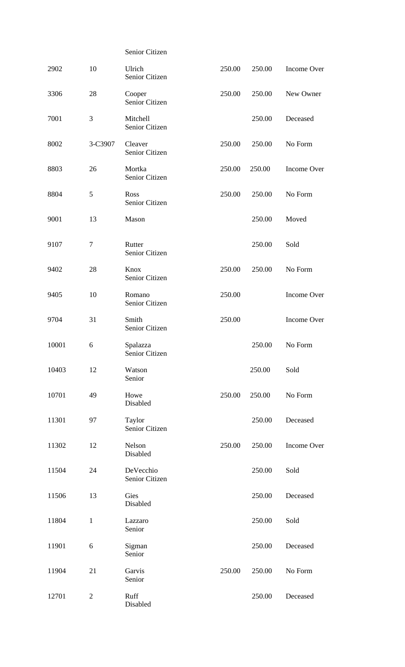|       |                | Senior Citizen              |        |        |             |
|-------|----------------|-----------------------------|--------|--------|-------------|
| 2902  | $10\,$         | Ulrich<br>Senior Citizen    | 250.00 | 250.00 | Income Over |
| 3306  | $28\,$         | Cooper<br>Senior Citizen    | 250.00 | 250.00 | New Owner   |
| 7001  | $\mathfrak{Z}$ | Mitchell<br>Senior Citizen  |        | 250.00 | Deceased    |
| 8002  | 3-C3907        | Cleaver<br>Senior Citizen   | 250.00 | 250.00 | No Form     |
| 8803  | 26             | Mortka<br>Senior Citizen    | 250.00 | 250.00 | Income Over |
| 8804  | $\mathfrak{S}$ | Ross<br>Senior Citizen      | 250.00 | 250.00 | No Form     |
| 9001  | 13             | Mason                       |        | 250.00 | Moved       |
| 9107  | $\tau$         | Rutter<br>Senior Citizen    |        | 250.00 | Sold        |
| 9402  | 28             | Knox<br>Senior Citizen      | 250.00 | 250.00 | No Form     |
| 9405  | $10\,$         | Romano<br>Senior Citizen    | 250.00 |        | Income Over |
| 9704  | 31             | Smith<br>Senior Citizen     | 250.00 |        | Income Over |
| 10001 | 6              | Spalazza<br>Senior Citizen  |        | 250.00 | No Form     |
| 10403 | $12\,$         | Watson<br>Senior            |        | 250.00 | Sold        |
| 10701 | 49             | Howe<br>Disabled            | 250.00 | 250.00 | No Form     |
| 11301 | 97             | Taylor<br>Senior Citizen    |        | 250.00 | Deceased    |
| 11302 | $12\,$         | Nelson<br>Disabled          | 250.00 | 250.00 | Income Over |
| 11504 | $24\,$         | DeVecchio<br>Senior Citizen |        | 250.00 | Sold        |
| 11506 | 13             | Gies<br>Disabled            |        | 250.00 | Deceased    |
| 11804 | $\mathbf{1}$   | Lazzaro<br>Senior           |        | 250.00 | Sold        |
| 11901 | 6              | Sigman<br>Senior            |        | 250.00 | Deceased    |
| 11904 | 21             | Garvis<br>Senior            | 250.00 | 250.00 | No Form     |
| 12701 | $\overline{c}$ | Ruff<br>Disabled            |        | 250.00 | Deceased    |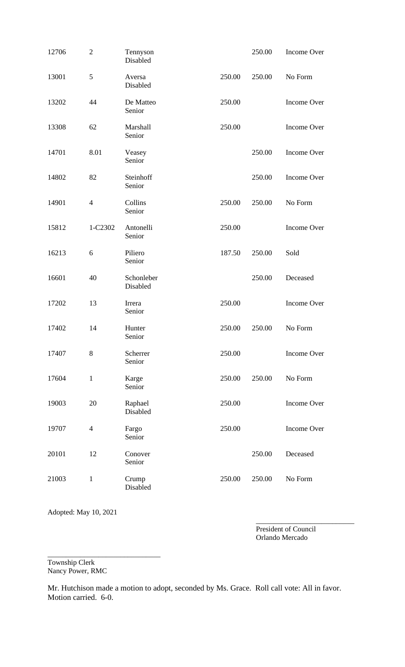| 12706 | $\overline{2}$ | Tennyson<br>Disabled   |        | 250.00 | Income Over |
|-------|----------------|------------------------|--------|--------|-------------|
| 13001 | 5 <sup>5</sup> | Aversa<br>Disabled     | 250.00 | 250.00 | No Form     |
| 13202 | 44             | De Matteo<br>Senior    | 250.00 |        | Income Over |
| 13308 | 62             | Marshall<br>Senior     | 250.00 |        | Income Over |
| 14701 | 8.01           | Veasey<br>Senior       |        | 250.00 | Income Over |
| 14802 | 82             | Steinhoff<br>Senior    |        | 250.00 | Income Over |
| 14901 | $\overline{4}$ | Collins<br>Senior      | 250.00 | 250.00 | No Form     |
| 15812 | 1-C2302        | Antonelli<br>Senior    | 250.00 |        | Income Over |
| 16213 | 6              | Piliero<br>Senior      | 187.50 | 250.00 | Sold        |
| 16601 | $40\,$         | Schonleber<br>Disabled |        | 250.00 | Deceased    |
| 17202 | 13             | Irrera<br>Senior       | 250.00 |        | Income Over |
| 17402 | 14             | Hunter<br>Senior       | 250.00 | 250.00 | No Form     |
| 17407 | $\,8\,$        | Scherrer<br>Senior     | 250.00 |        | Income Over |
| 17604 | $\mathbf{1}$   | Karge<br>Senior        | 250.00 | 250.00 | No Form     |
| 19003 | $20\,$         | Raphael<br>Disabled    | 250.00 |        | Income Over |
| 19707 | $\overline{4}$ | Fargo<br>Senior        | 250.00 |        | Income Over |
| 20101 | 12             | Conover<br>Senior      |        | 250.00 | Deceased    |
| 21003 | $\mathbf{1}$   | Crump<br>Disabled      | 250.00 | 250.00 | No Form     |

Adopted: May 10, 2021

President of Council Orlando Mercado

\_\_\_\_\_\_\_\_\_\_\_\_\_\_\_\_\_\_\_\_\_\_\_\_\_\_\_

Township Clerk Nancy Power, RMC

\_\_\_\_\_\_\_\_\_\_\_\_\_\_\_\_\_\_\_\_\_\_\_\_\_\_\_\_\_\_\_

Mr. Hutchison made a motion to adopt, seconded by Ms. Grace. Roll call vote: All in favor. Motion carried. 6-0.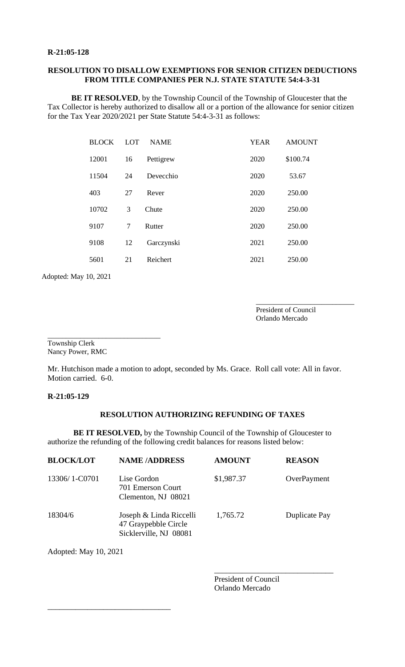## **R-21:05-128**

# **RESOLUTION TO DISALLOW EXEMPTIONS FOR SENIOR CITIZEN DEDUCTIONS FROM TITLE COMPANIES PER N.J. STATE STATUTE 54:4-3-31**

**BE IT RESOLVED**, by the Township Council of the Township of Gloucester that the Tax Collector is hereby authorized to disallow all or a portion of the allowance for senior citizen for the Tax Year 2020/2021 per State Statute 54:4-3-31 as follows:

| <b>BLOCK</b> | <b>LOT</b> | <b>NAME</b> | <b>YEAR</b> | <b>AMOUNT</b> |
|--------------|------------|-------------|-------------|---------------|
| 12001        | 16         | Pettigrew   | 2020        | \$100.74      |
| 11504        | 24         | Devecchio   | 2020        | 53.67         |
| 403          | 27         | Rever       | 2020        | 250.00        |
| 10702        | 3          | Chute       | 2020        | 250.00        |
| 9107         | 7          | Rutter      | 2020        | 250.00        |
| 9108         | 12         | Garczynski  | 2021        | 250.00        |
| 5601         | 21         | Reichert    | 2021        | 250.00        |

Adopted: May 10, 2021

President of Council Orlando Mercado

\_\_\_\_\_\_\_\_\_\_\_\_\_\_\_\_\_\_\_\_\_\_\_\_\_\_\_

\_\_\_\_\_\_\_\_\_\_\_\_\_\_\_\_\_\_\_\_\_\_\_\_\_\_\_\_\_\_\_ Township Clerk Nancy Power, RMC

Mr. Hutchison made a motion to adopt, seconded by Ms. Grace. Roll call vote: All in favor. Motion carried. 6-0.

# **R-21:05-129**

# **RESOLUTION AUTHORIZING REFUNDING OF TAXES**

**BE IT RESOLVED,** by the Township Council of the Township of Gloucester to authorize the refunding of the following credit balances for reasons listed below:

| <b>BLOCK/LOT</b> | <b>NAME/ADDRESS</b>                                                       | <b>AMOUNT</b> | <b>REASON</b> |
|------------------|---------------------------------------------------------------------------|---------------|---------------|
| 13306/1-C0701    | Lise Gordon<br>701 Emerson Court<br>Clementon, NJ 08021                   | \$1,987.37    | OverPayment   |
| 18304/6          | Joseph & Linda Riccelli<br>47 Graypebble Circle<br>Sicklerville, NJ 08081 | 1,765.72      | Duplicate Pay |

Adopted: May 10, 2021

\_\_\_\_\_\_\_\_\_\_\_\_\_\_\_\_\_\_\_\_\_\_\_\_\_\_\_\_\_\_\_

President of Council Orlando Mercado

\_\_\_\_\_\_\_\_\_\_\_\_\_\_\_\_\_\_\_\_\_\_\_\_\_\_\_\_\_\_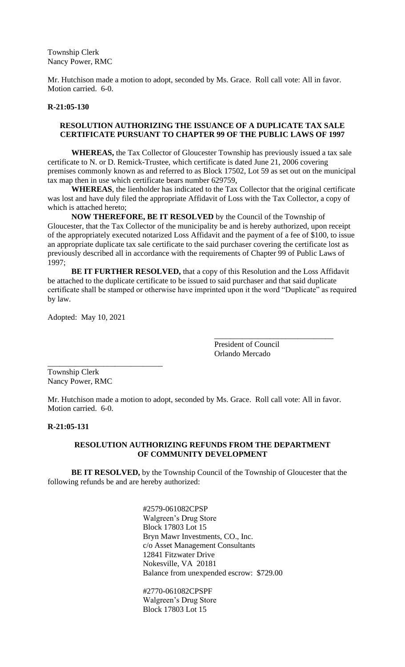Township Clerk Nancy Power, RMC

Mr. Hutchison made a motion to adopt, seconded by Ms. Grace. Roll call vote: All in favor. Motion carried. 6-0.

#### **R-21:05-130**

# **RESOLUTION AUTHORIZING THE ISSUANCE OF A DUPLICATE TAX SALE CERTIFICATE PURSUANT TO CHAPTER 99 OF THE PUBLIC LAWS OF 1997**

**WHEREAS,** the Tax Collector of Gloucester Township has previously issued a tax sale certificate to N. or D. Remick-Trustee, which certificate is dated June 21, 2006 covering premises commonly known as and referred to as Block 17502, Lot 59 as set out on the municipal tax map then in use which certificate bears number 629759,

**WHEREAS**, the lienholder has indicated to the Tax Collector that the original certificate was lost and have duly filed the appropriate Affidavit of Loss with the Tax Collector, a copy of which is attached hereto;

**NOW THEREFORE, BE IT RESOLVED** by the Council of the Township of Gloucester, that the Tax Collector of the municipality be and is hereby authorized, upon receipt of the appropriately executed notarized Loss Affidavit and the payment of a fee of \$100, to issue an appropriate duplicate tax sale certificate to the said purchaser covering the certificate lost as previously described all in accordance with the requirements of Chapter 99 of Public Laws of 1997;

**BE IT FURTHER RESOLVED,** that a copy of this Resolution and the Loss Affidavit be attached to the duplicate certificate to be issued to said purchaser and that said duplicate certificate shall be stamped or otherwise have imprinted upon it the word "Duplicate" as required by law.

Adopted: May 10, 2021

President of Council Orlando Mercado

\_\_\_\_\_\_\_\_\_\_\_\_\_\_\_\_\_\_\_\_\_\_\_\_\_\_\_\_\_\_

Township Clerk Nancy Power, RMC

\_\_\_\_\_\_\_\_\_\_\_\_\_\_\_\_\_\_\_\_\_\_\_\_\_\_\_\_\_

Mr. Hutchison made a motion to adopt, seconded by Ms. Grace. Roll call vote: All in favor. Motion carried. 6-0.

#### **R-21:05-131**

# **RESOLUTION AUTHORIZING REFUNDS FROM THE DEPARTMENT OF COMMUNITY DEVELOPMENT**

**BE IT RESOLVED,** by the Township Council of the Township of Gloucester that the following refunds be and are hereby authorized:

> #2579-061082CPSP Walgreen's Drug Store Block 17803 Lot 15 Bryn Mawr Investments, CO., Inc. c/o Asset Management Consultants 12841 Fitzwater Drive Nokesville, VA 20181 Balance from unexpended escrow: \$729.00

#2770-061082CPSPF Walgreen's Drug Store Block 17803 Lot 15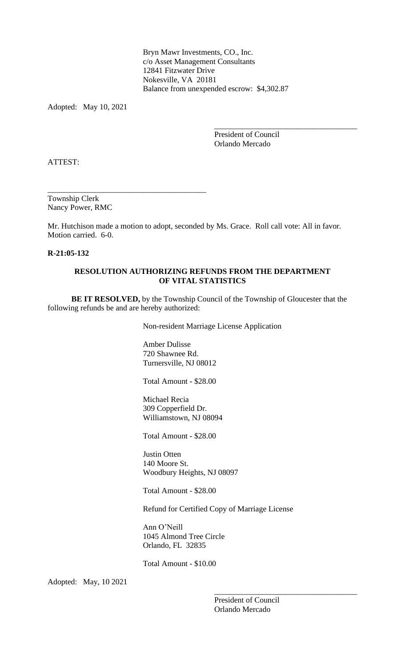Bryn Mawr Investments, CO., Inc. c/o Asset Management Consultants 12841 Fitzwater Drive Nokesville, VA 20181 Balance from unexpended escrow: \$4,302.87

Adopted: May 10, 2021

President of Council Orlando Mercado

\_\_\_\_\_\_\_\_\_\_\_\_\_\_\_\_\_\_\_\_\_\_\_\_\_\_\_\_\_\_\_\_\_\_\_\_

ATTEST:

Township Clerk Nancy Power, RMC

\_\_\_\_\_\_\_\_\_\_\_\_\_\_\_\_\_\_\_\_\_\_\_\_\_\_\_\_\_\_\_\_\_\_\_\_\_\_\_\_

Mr. Hutchison made a motion to adopt, seconded by Ms. Grace. Roll call vote: All in favor. Motion carried. 6-0.

**R-21:05-132**

# **RESOLUTION AUTHORIZING REFUNDS FROM THE DEPARTMENT OF VITAL STATISTICS**

**BE IT RESOLVED,** by the Township Council of the Township of Gloucester that the following refunds be and are hereby authorized:

Non-resident Marriage License Application

Amber Dulisse 720 Shawnee Rd. Turnersville, NJ 08012

Total Amount - \$28.00

Michael Recia 309 Copperfield Dr. Williamstown, NJ 08094

Total Amount - \$28.00

Justin Otten 140 Moore St. Woodbury Heights, NJ 08097

Total Amount - \$28.00

Refund for Certified Copy of Marriage License

Ann O'Neill 1045 Almond Tree Circle Orlando, FL 32835

Total Amount - \$10.00

Adopted: May, 10 2021

President of Council Orlando Mercado

\_\_\_\_\_\_\_\_\_\_\_\_\_\_\_\_\_\_\_\_\_\_\_\_\_\_\_\_\_\_\_\_\_\_\_\_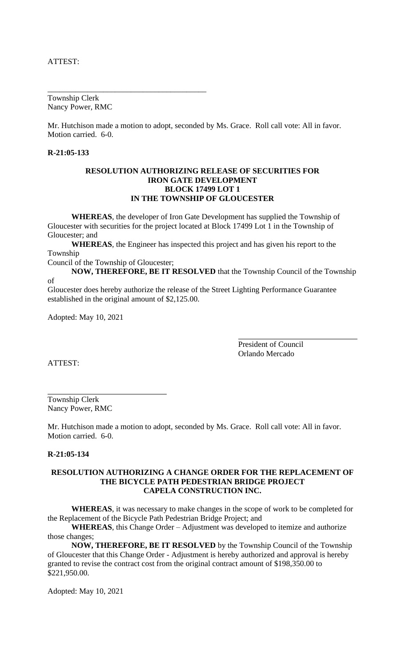ATTEST:

Township Clerk Nancy Power, RMC

Mr. Hutchison made a motion to adopt, seconded by Ms. Grace. Roll call vote: All in favor. Motion carried. 6-0.

# **R-21:05-133**

## **RESOLUTION AUTHORIZING RELEASE OF SECURITIES FOR IRON GATE DEVELOPMENT BLOCK 17499 LOT 1 IN THE TOWNSHIP OF GLOUCESTER**

**WHEREAS**, the developer of Iron Gate Development has supplied the Township of Gloucester with securities for the project located at Block 17499 Lot 1 in the Township of Gloucester; and

**WHEREAS**, the Engineer has inspected this project and has given his report to the Township

Council of the Township of Gloucester;

\_\_\_\_\_\_\_\_\_\_\_\_\_\_\_\_\_\_\_\_\_\_\_\_\_\_\_\_\_\_\_\_\_\_\_\_\_\_\_\_

**NOW, THEREFORE, BE IT RESOLVED** that the Township Council of the Township of

Gloucester does hereby authorize the release of the Street Lighting Performance Guarantee established in the original amount of \$2,125.00.

Adopted: May 10, 2021

President of Council Orlando Mercado

ATTEST:

Township Clerk Nancy Power, RMC

Mr. Hutchison made a motion to adopt, seconded by Ms. Grace. Roll call vote: All in favor. Motion carried. 6-0.

## **R-21:05-134**

## **RESOLUTION AUTHORIZING A CHANGE ORDER FOR THE REPLACEMENT OF THE BICYCLE PATH PEDESTRIAN BRIDGE PROJECT CAPELA CONSTRUCTION INC.**

**WHEREAS**, it was necessary to make changes in the scope of work to be completed for the Replacement of the Bicycle Path Pedestrian Bridge Project; and

**WHEREAS**, this Change Order – Adjustment was developed to itemize and authorize those changes;

**NOW, THEREFORE, BE IT RESOLVED** by the Township Council of the Township of Gloucester that this Change Order - Adjustment is hereby authorized and approval is hereby granted to revise the contract cost from the original contract amount of \$198,350.00 to \$221,950.00.

Adopted: May 10, 2021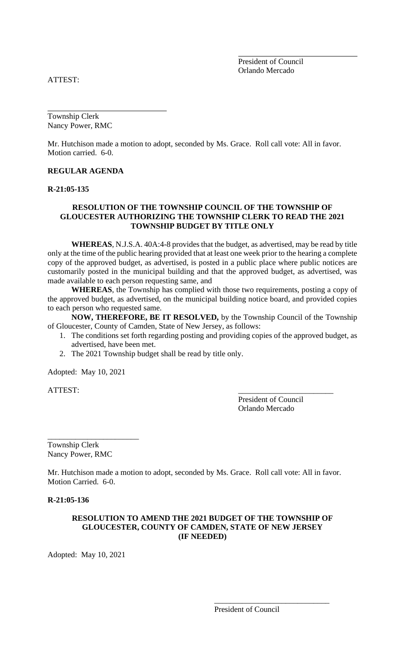President of Council Orlando Mercado

ATTEST:

Township Clerk Nancy Power, RMC

Mr. Hutchison made a motion to adopt, seconded by Ms. Grace. Roll call vote: All in favor. Motion carried. 6-0.

## **REGULAR AGENDA**

**R-21:05-135**

# **RESOLUTION OF THE TOWNSHIP COUNCIL OF THE TOWNSHIP OF GLOUCESTER AUTHORIZING THE TOWNSHIP CLERK TO READ THE 2021 TOWNSHIP BUDGET BY TITLE ONLY**

**WHEREAS**, N.J.S.A. 40A:4-8 provides that the budget, as advertised, may be read by title only at the time of the public hearing provided that at least one week prior to the hearing a complete copy of the approved budget, as advertised, is posted in a public place where public notices are customarily posted in the municipal building and that the approved budget, as advertised, was made available to each person requesting same, and

**WHEREAS**, the Township has complied with those two requirements, posting a copy of the approved budget, as advertised, on the municipal building notice board, and provided copies to each person who requested same.

**NOW, THEREFORE, BE IT RESOLVED,** by the Township Council of the Township of Gloucester, County of Camden, State of New Jersey, as follows:

- 1. The conditions set forth regarding posting and providing copies of the approved budget, as advertised, have been met.
- 2. The 2021 Township budget shall be read by title only.

Adopted: May 10, 2021

ATTEST:

President of Council Orlando Mercado

Township Clerk Nancy Power, RMC

\_\_\_\_\_\_\_\_\_\_\_\_\_\_\_\_\_\_\_\_\_\_\_

Mr. Hutchison made a motion to adopt, seconded by Ms. Grace. Roll call vote: All in favor. Motion Carried. 6-0.

## **R-21:05-136**

# **RESOLUTION TO AMEND THE 2021 BUDGET OF THE TOWNSHIP OF GLOUCESTER, COUNTY OF CAMDEN, STATE OF NEW JERSEY (IF NEEDED)**

Adopted: May 10, 2021

President of Council

\_\_\_\_\_\_\_\_\_\_\_\_\_\_\_\_\_\_\_\_\_\_\_\_\_\_\_\_\_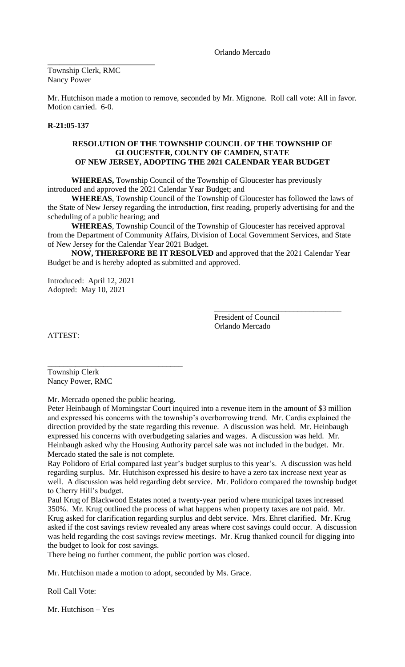Orlando Mercado

\_\_\_\_\_\_\_\_\_\_\_\_\_\_\_\_\_\_\_\_\_\_\_\_\_\_\_ Township Clerk, RMC Nancy Power

Mr. Hutchison made a motion to remove, seconded by Mr. Mignone. Roll call vote: All in favor. Motion carried. 6-0.

## **R-21:05-137**

# **RESOLUTION OF THE TOWNSHIP COUNCIL OF THE TOWNSHIP OF GLOUCESTER, COUNTY OF CAMDEN, STATE OF NEW JERSEY, ADOPTING THE 2021 CALENDAR YEAR BUDGET**

**WHEREAS,** Township Council of the Township of Gloucester has previously introduced and approved the 2021 Calendar Year Budget; and

**WHEREAS**, Township Council of the Township of Gloucester has followed the laws of the State of New Jersey regarding the introduction, first reading, properly advertising for and the scheduling of a public hearing; and

**WHEREAS**, Township Council of the Township of Gloucester has received approval from the Department of Community Affairs, Division of Local Government Services, and State of New Jersey for the Calendar Year 2021 Budget.

**NOW, THEREFORE BE IT RESOLVED** and approved that the 2021 Calendar Year Budget be and is hereby adopted as submitted and approved.

Introduced: April 12, 2021 Adopted: May 10, 2021

> President of Council Orlando Mercado

\_\_\_\_\_\_\_\_\_\_\_\_\_\_\_\_\_\_\_\_\_\_\_\_\_\_\_\_\_\_\_\_

ATTEST:

\_\_\_\_\_\_\_\_\_\_\_\_\_\_\_\_\_\_\_\_\_\_\_\_\_\_\_\_\_\_\_\_\_\_ Township Clerk Nancy Power, RMC

Mr. Mercado opened the public hearing.

Peter Heinbaugh of Morningstar Court inquired into a revenue item in the amount of \$3 million and expressed his concerns with the township's overborrowing trend. Mr. Cardis explained the direction provided by the state regarding this revenue. A discussion was held. Mr. Heinbaugh expressed his concerns with overbudgeting salaries and wages. A discussion was held. Mr. Heinbaugh asked why the Housing Authority parcel sale was not included in the budget. Mr. Mercado stated the sale is not complete.

Ray Polidoro of Erial compared last year's budget surplus to this year's. A discussion was held regarding surplus. Mr. Hutchison expressed his desire to have a zero tax increase next year as well. A discussion was held regarding debt service. Mr. Polidoro compared the township budget to Cherry Hill's budget.

Paul Krug of Blackwood Estates noted a twenty-year period where municipal taxes increased 350%. Mr. Krug outlined the process of what happens when property taxes are not paid. Mr. Krug asked for clarification regarding surplus and debt service. Mrs. Ehret clarified. Mr. Krug asked if the cost savings review revealed any areas where cost savings could occur. A discussion was held regarding the cost savings review meetings. Mr. Krug thanked council for digging into the budget to look for cost savings.

There being no further comment, the public portion was closed.

Mr. Hutchison made a motion to adopt, seconded by Ms. Grace.

Roll Call Vote:

Mr. Hutchison – Yes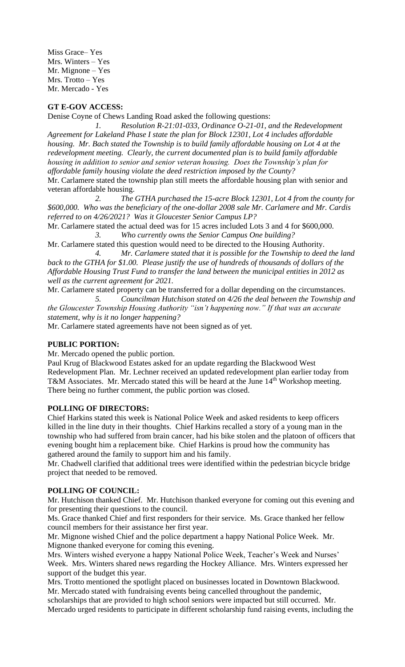Miss Grace– Yes Mrs. Winters – Yes Mr. Mignone – Yes Mrs. Trotto – Yes Mr. Mercado - Yes

# **GT E-GOV ACCESS:**

Denise Coyne of Chews Landing Road asked the following questions:

*1. Resolution R-21:01-033, Ordinance O-21-01, and the Redevelopment Agreement for Lakeland Phase I state the plan for Block 12301, Lot 4 includes affordable housing. Mr. Bach stated the Township is to build family affordable housing on Lot 4 at the redevelopment meeting. Clearly, the current documented plan is to build family affordable housing in addition to senior and senior veteran housing. Does the Township's plan for affordable family housing violate the deed restriction imposed by the County?* Mr. Carlamere stated the township plan still meets the affordable housing plan with senior and veteran affordable housing.

*2. The GTHA purchased the 15-acre Block 12301, Lot 4 from the county for \$600,000. Who was the beneficiary of the one-dollar 2008 sale Mr. Carlamere and Mr. Cardis referred to on 4/26/2021? Was it Gloucester Senior Campus LP?*

Mr. Carlamere stated the actual deed was for 15 acres included Lots 3 and 4 for \$600,000. *3. Who currently owns the Senior Campus One building?*

Mr. Carlamere stated this question would need to be directed to the Housing Authority. *4. Mr. Carlamere stated that it is possible for the Township to deed the land* 

*back to the GTHA for \$1.00. Please justify the use of hundreds of thousands of dollars of the Affordable Housing Trust Fund to transfer the land between the municipal entities in 2012 as well as the current agreement for 2021.*

Mr. Carlamere stated property can be transferred for a dollar depending on the circumstances. *5. Councilman Hutchison stated on 4/26 the deal between the Township and the Gloucester Township Housing Authority "isn't happening now." If that was an accurate statement, why is it no longer happening?*

Mr. Carlamere stated agreements have not been signed as of yet.

# **PUBLIC PORTION:**

Mr. Mercado opened the public portion.

Paul Krug of Blackwood Estates asked for an update regarding the Blackwood West Redevelopment Plan. Mr. Lechner received an updated redevelopment plan earlier today from T&M Associates. Mr. Mercado stated this will be heard at the June 14<sup>th</sup> Workshop meeting. There being no further comment, the public portion was closed.

## **POLLING OF DIRECTORS:**

Chief Harkins stated this week is National Police Week and asked residents to keep officers killed in the line duty in their thoughts. Chief Harkins recalled a story of a young man in the township who had suffered from brain cancer, had his bike stolen and the platoon of officers that evening bought him a replacement bike. Chief Harkins is proud how the community has gathered around the family to support him and his family.

Mr. Chadwell clarified that additional trees were identified within the pedestrian bicycle bridge project that needed to be removed.

## **POLLING OF COUNCIL:**

Mr. Hutchison thanked Chief. Mr. Hutchison thanked everyone for coming out this evening and for presenting their questions to the council.

Ms. Grace thanked Chief and first responders for their service. Ms. Grace thanked her fellow council members for their assistance her first year.

Mr. Mignone wished Chief and the police department a happy National Police Week. Mr. Mignone thanked everyone for coming this evening.

Mrs. Winters wished everyone a happy National Police Week, Teacher's Week and Nurses' Week. Mrs. Winters shared news regarding the Hockey Alliance. Mrs. Winters expressed her support of the budget this year.

Mrs. Trotto mentioned the spotlight placed on businesses located in Downtown Blackwood. Mr. Mercado stated with fundraising events being cancelled throughout the pandemic, scholarships that are provided to high school seniors were impacted but still occurred. Mr.

Mercado urged residents to participate in different scholarship fund raising events, including the